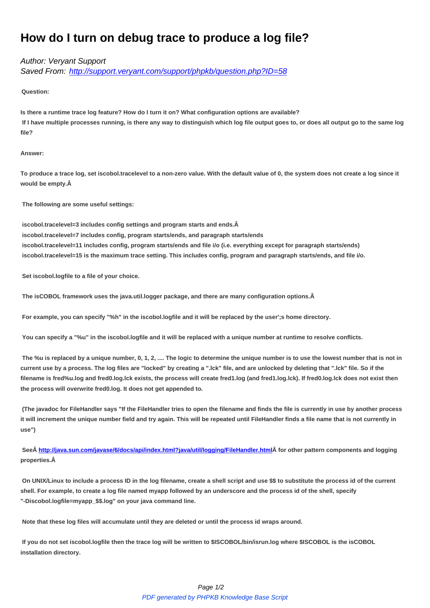## **How do I turn on debug trace to produce a log file?**

## Author: Veryant Support

Saved From: http://support.veryant.com/support/phpkb/question.php?ID=58

**Question:**

**Is there a runtim[e trace log feature? How do I turn it on? What configuration options are availab](http://support.veryant.com/support/phpkb/question.php?ID=58)le? If I have multiple processes running, is there any way to distinguish which log file output goes to, or does all output go to the same log file?**

## **Answer:**

**To produce a trace log, set iscobol.tracelevel to a non-zero value. With the default value of 0, the system does not create a log since it would be empty.** 

 **The following are some useful settings:**

 **iscobol.tracelevel=3 includes config settings and program starts and ends. iscobol.tracelevel=7 includes config, program starts/ends, and paragraph starts/ends iscobol.tracelevel=11 includes config, program starts/ends and file i/o (i.e. everything except for paragraph starts/ends) iscobol.tracelevel=15 is the maximum trace setting. This includes config, program and paragraph starts/ends, and file i/o.**

 **Set iscobol.logfile to a file of your choice.**

 **The isCOBOL framework uses the java.util.logger package, and there are many configuration options.** 

 **For example, you can specify "%h" in the iscobol.logfile and it will be replaced by the user';s home directory.**

 **You can specify a "%u" in the iscobol.logfile and it will be replaced with a unique number at runtime to resolve conflicts.**

 **The %u is replaced by a unique number, 0, 1, 2, .... The logic to determine the unique number is to use the lowest number that is not in current use by a process. The log files are "locked" by creating a ".lck" file, and are unlocked by deleting that ".lck" file. So if the filename is fred%u.log and fred0.log.lck exists, the process will create fred1.log (and fred1.log.lck). If fred0.log.lck does not exist then the process will overwrite fred0.log. It does not get appended to.**

 **(The javadoc for FileHandler says "If the FileHandler tries to open the filename and finds the file is currently in use by another process it will increment the unique number field and try again. This will be repeated until FileHandler finds a file name that is not currently in use")**

See http://java.sun.com/javase/6/docs/api/index.html?java/util/logging/FileHandler.html for other pattern components and logging **properties.** 

 **On UNIX/Linux to include a process ID in the log filename, create a shell script and use \$\$ to substitute the process id of the current shell. [For example, to create a log file named myapp followed by an underscore and the p](http://java.sun.com/javase/6/docs/api/index.html?java/util/logging/FileHandler.html)rocess id of the shell, specify "-Discobol.logfile=myapp\_\$\$.log" on your java command line.**

 **Note that these log files will accumulate until they are deleted or until the process id wraps around.**

 **If you do not set iscobol.logfile then the trace log will be written to \$ISCOBOL/bin/isrun.log where \$ISCOBOL is the isCOBOL installation directory.**